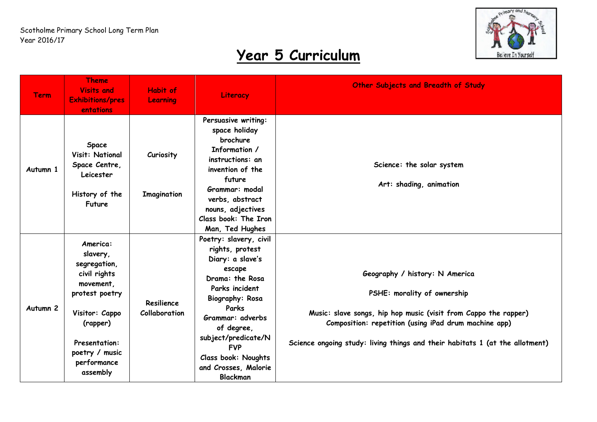

| <b>Term</b>         | <b>Theme</b><br><b>Visits and</b><br><b>Exhibitions/pres</b><br>entations                                                                                                              | Habit of<br>Learning            | Literacy                                                                                                                                                                                                                                                                                        | Other Subjects and Breadth of Study                                                                                                                                                                                                                                       |
|---------------------|----------------------------------------------------------------------------------------------------------------------------------------------------------------------------------------|---------------------------------|-------------------------------------------------------------------------------------------------------------------------------------------------------------------------------------------------------------------------------------------------------------------------------------------------|---------------------------------------------------------------------------------------------------------------------------------------------------------------------------------------------------------------------------------------------------------------------------|
| Autumn 1            | Space<br>Visit: National<br>Space Centre,<br>Leicester<br>History of the<br>Future                                                                                                     | Curiosity<br><b>Imagination</b> | Persuasive writing:<br>space holiday<br>brochure<br>Information /<br>instructions: an<br>invention of the<br>future<br>Grammar: modal<br>verbs, abstract<br>nouns, adjectives<br>Class book: The Iron<br>Man, Ted Hughes                                                                        | Science: the solar system<br>Art: shading, animation                                                                                                                                                                                                                      |
| Autumn <sub>2</sub> | America:<br>slavery,<br>segregation,<br>civil rights<br>movement,<br>protest poetry<br>Visitor: Cappo<br>(rapper)<br><b>Presentation:</b><br>poetry / music<br>performance<br>assembly | Resilience<br>Collaboration     | Poetry: slavery, civil<br>rights, protest<br>Diary: a slave's<br>escape<br>Drama: the Rosa<br>Parks incident<br><b>Biography: Rosa</b><br>Parks<br>Grammar: adverbs<br>of degree,<br>subject/predicate/N<br><b>FVP</b><br><b>Class book: Noughts</b><br>and Crosses, Malorie<br><b>Blackman</b> | Geography / history: N America<br>PSHE: morality of ownership<br>Music: slave songs, hip hop music (visit from Cappo the rapper)<br>Composition: repetition (using iPad drum machine app)<br>Science ongoing study: living things and their habitats 1 (at the allotment) |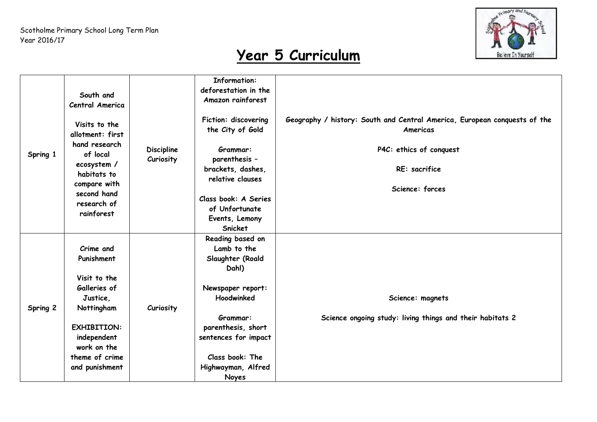

| Spring 1 | South and<br>Central America<br>Visits to the<br>allotment: first<br>hand research<br>of local<br>ecosystem /<br>habitats to<br>compare with<br>second hand<br>research of<br>rainforest | <b>Discipline</b><br>Curiosity | <b>Information:</b><br>deforestation in the<br>Amazon rainforest<br>Fiction: discovering<br>the City of Gold<br>Grammar:<br>parenthesis -<br>brackets, dashes,<br>relative clauses<br>Class book: A Series<br>of Unfortunate<br>Events, Lemony<br>Snicket | Geography / history: South and Central America, European conquests of the<br>Americas<br>P4C: ethics of conquest<br>RE: sacrifice<br>Science: forces |
|----------|------------------------------------------------------------------------------------------------------------------------------------------------------------------------------------------|--------------------------------|-----------------------------------------------------------------------------------------------------------------------------------------------------------------------------------------------------------------------------------------------------------|------------------------------------------------------------------------------------------------------------------------------------------------------|
| Spring 2 | Crime and<br>Punishment<br>Visit to the<br>Galleries of<br>Justice,<br>Nottingham<br><b>EXHIBITION:</b><br>independent<br>work on the<br>theme of crime<br>and punishment                | Curiosity                      | Reading based on<br>Lamb to the<br>Slaughter (Roald<br>Dahl)<br>Newspaper report:<br>Hoodwinked<br>Grammar:<br>parenthesis, short<br>sentences for impact<br>Class book: The<br>Highwayman, Alfred<br>Noyes                                               | Science: magnets<br>Science ongoing study: living things and their habitats 2                                                                        |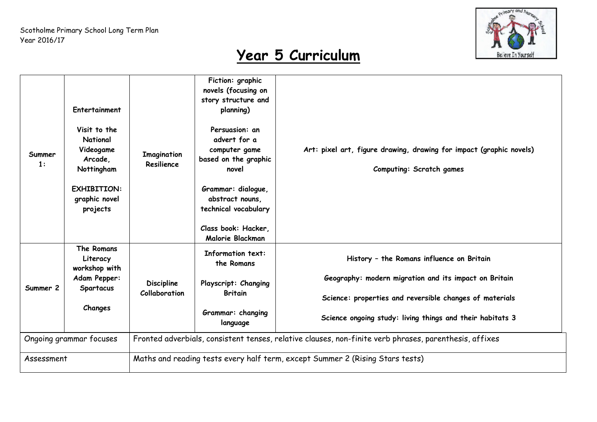

| Summer<br>1:            | Entertainment<br>Visit to the<br>National<br>Videogame<br>Arcade,<br>Nottingham<br><b>EXHIBITION:</b><br>graphic novel<br>projects | <b>Imagination</b><br>Resilience                                                                       | Fiction: graphic<br>novels (focusing on<br>story structure and<br>planning)<br>Persuasion: an<br>advert for a<br>computer game<br>based on the graphic<br>novel<br>Grammar: dialogue,<br>abstract nouns,<br>technical vocabulary<br>Class book: Hacker,<br>Malorie Blackman | Art: pixel art, figure drawing, drawing for impact (graphic novels)<br><b>Computing: Scratch games</b>                                                                                                                     |  |  |
|-------------------------|------------------------------------------------------------------------------------------------------------------------------------|--------------------------------------------------------------------------------------------------------|-----------------------------------------------------------------------------------------------------------------------------------------------------------------------------------------------------------------------------------------------------------------------------|----------------------------------------------------------------------------------------------------------------------------------------------------------------------------------------------------------------------------|--|--|
| Summer 2                | The Romans<br>Literacy<br>workshop with<br>Adam Pepper:<br><b>Spartacus</b><br>Changes                                             | <b>Discipline</b><br>Collaboration                                                                     | <b>Information text:</b><br>the Romans<br>Playscript: Changing<br><b>Britain</b><br>Grammar: changing<br>language                                                                                                                                                           | History - the Romans influence on Britain<br>Geography: modern migration and its impact on Britain<br>Science: properties and reversible changes of materials<br>Science ongoing study: living things and their habitats 3 |  |  |
| Ongoing grammar focuses |                                                                                                                                    | Fronted adverbials, consistent tenses, relative clauses, non-finite verb phrases, parenthesis, affixes |                                                                                                                                                                                                                                                                             |                                                                                                                                                                                                                            |  |  |
| Assessment              |                                                                                                                                    | Maths and reading tests every half term, except Summer 2 (Rising Stars tests)                          |                                                                                                                                                                                                                                                                             |                                                                                                                                                                                                                            |  |  |